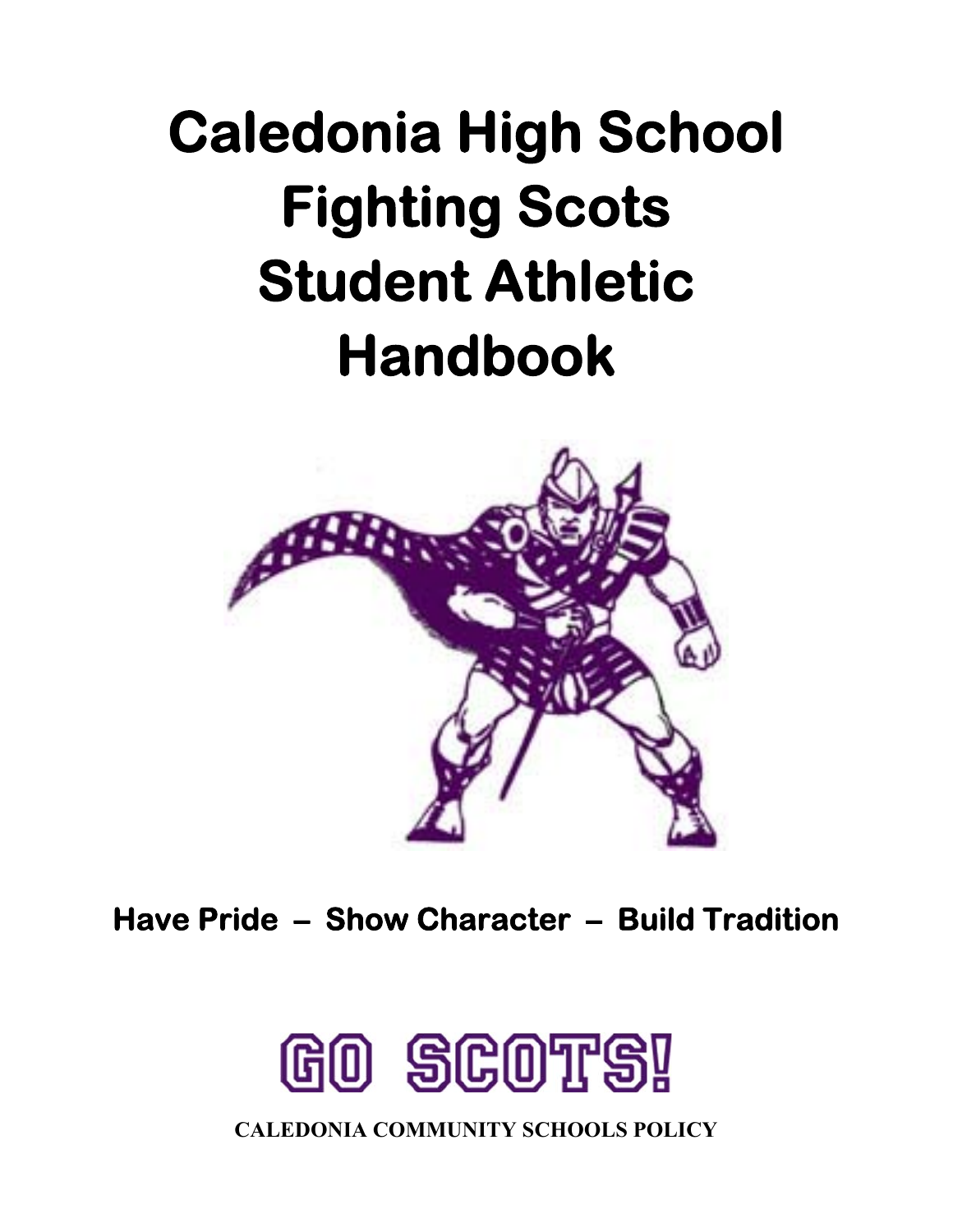# **Caledonia High School Fighting Scots Student Athletic Handbook**



**Have Pride – Show Character – Build Tradition** 



**CALEDONIA COMMUNITY SCHOOLS POLICY**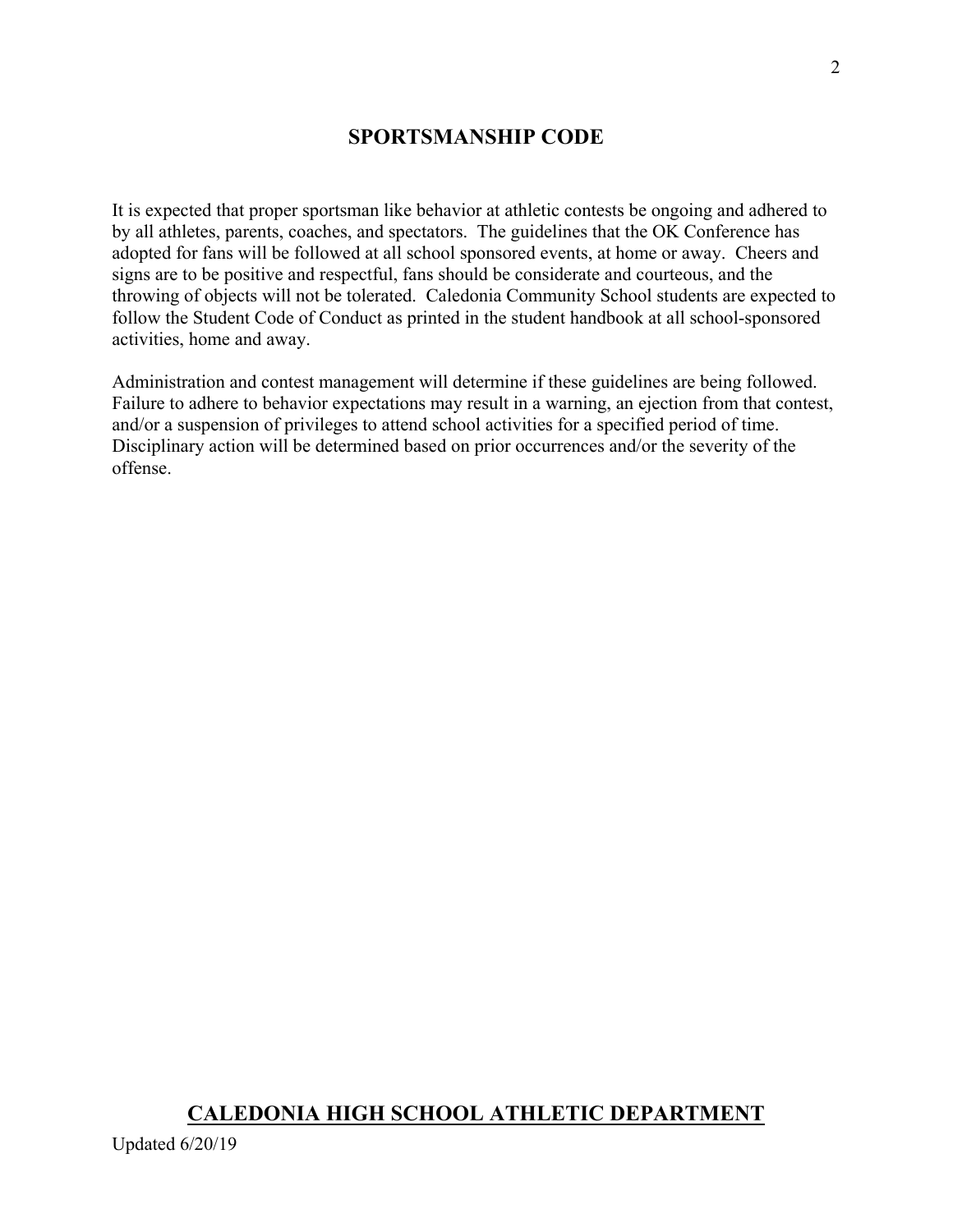# **SPORTSMANSHIP CODE**

It is expected that proper sportsman like behavior at athletic contests be ongoing and adhered to by all athletes, parents, coaches, and spectators. The guidelines that the OK Conference has adopted for fans will be followed at all school sponsored events, at home or away. Cheers and signs are to be positive and respectful, fans should be considerate and courteous, and the throwing of objects will not be tolerated. Caledonia Community School students are expected to follow the Student Code of Conduct as printed in the student handbook at all school-sponsored activities, home and away.

Administration and contest management will determine if these guidelines are being followed. Failure to adhere to behavior expectations may result in a warning, an ejection from that contest, and/or a suspension of privileges to attend school activities for a specified period of time. Disciplinary action will be determined based on prior occurrences and/or the severity of the offense.

# **CALEDONIA HIGH SCHOOL ATHLETIC DEPARTMENT**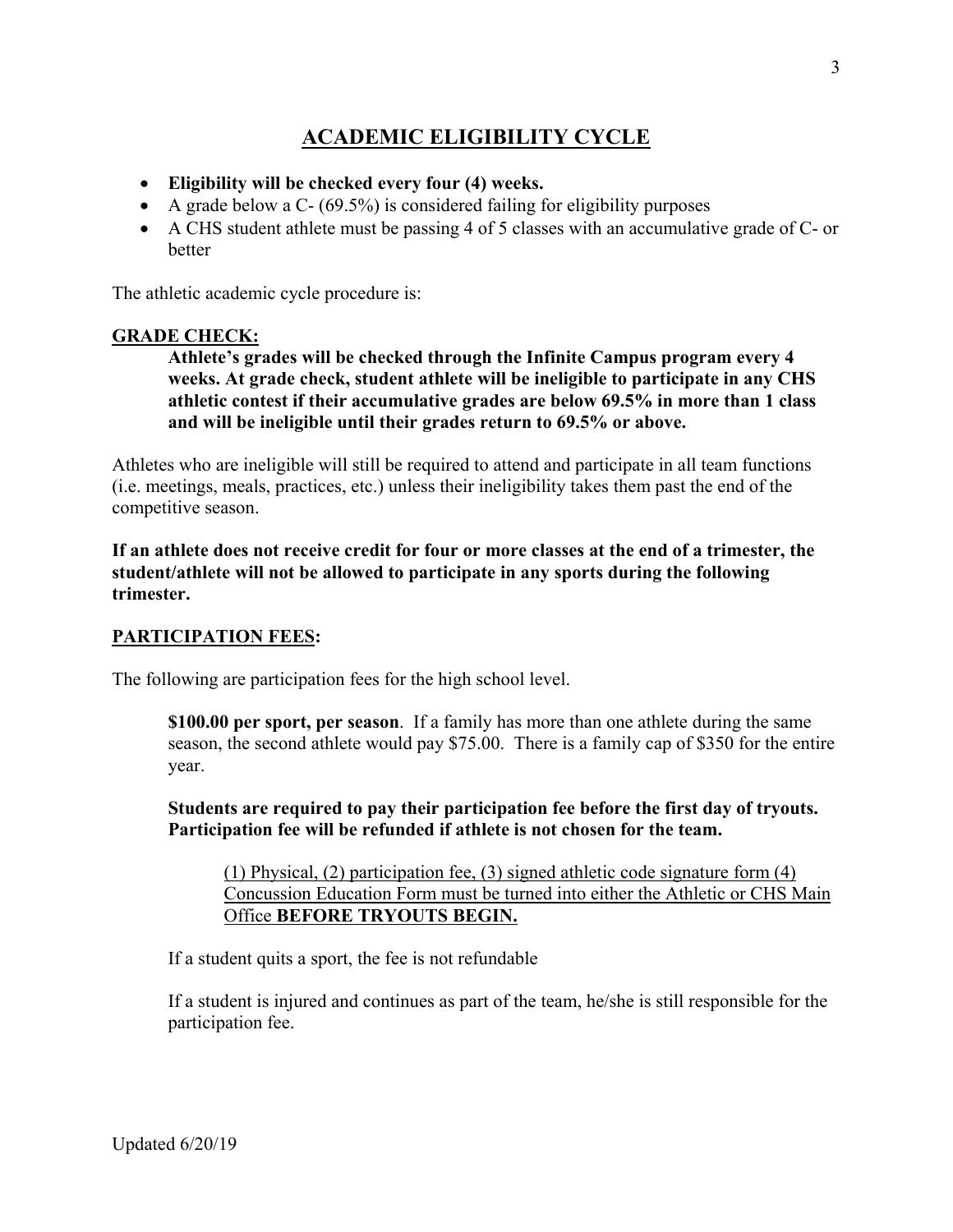# **ACADEMIC ELIGIBILITY CYCLE**

- **Eligibility will be checked every four (4) weeks.**
- A grade below a C-  $(69.5\%)$  is considered failing for eligibility purposes
- A CHS student athlete must be passing 4 of 5 classes with an accumulative grade of C- or better

The athletic academic cycle procedure is:

#### **GRADE CHECK:**

**Athlete's grades will be checked through the Infinite Campus program every 4 weeks. At grade check, student athlete will be ineligible to participate in any CHS athletic contest if their accumulative grades are below 69.5% in more than 1 class and will be ineligible until their grades return to 69.5% or above.** 

Athletes who are ineligible will still be required to attend and participate in all team functions (i.e. meetings, meals, practices, etc.) unless their ineligibility takes them past the end of the competitive season.

**If an athlete does not receive credit for four or more classes at the end of a trimester, the student/athlete will not be allowed to participate in any sports during the following trimester.** 

#### **PARTICIPATION FEES:**

The following are participation fees for the high school level.

**\$100.00 per sport, per season**. If a family has more than one athlete during the same season, the second athlete would pay \$75.00. There is a family cap of \$350 for the entire year.

**Students are required to pay their participation fee before the first day of tryouts. Participation fee will be refunded if athlete is not chosen for the team.** 

(1) Physical, (2) participation fee, (3) signed athletic code signature form (4) Concussion Education Form must be turned into either the Athletic or CHS Main Office **BEFORE TRYOUTS BEGIN.**

If a student quits a sport, the fee is not refundable

If a student is injured and continues as part of the team, he/she is still responsible for the participation fee.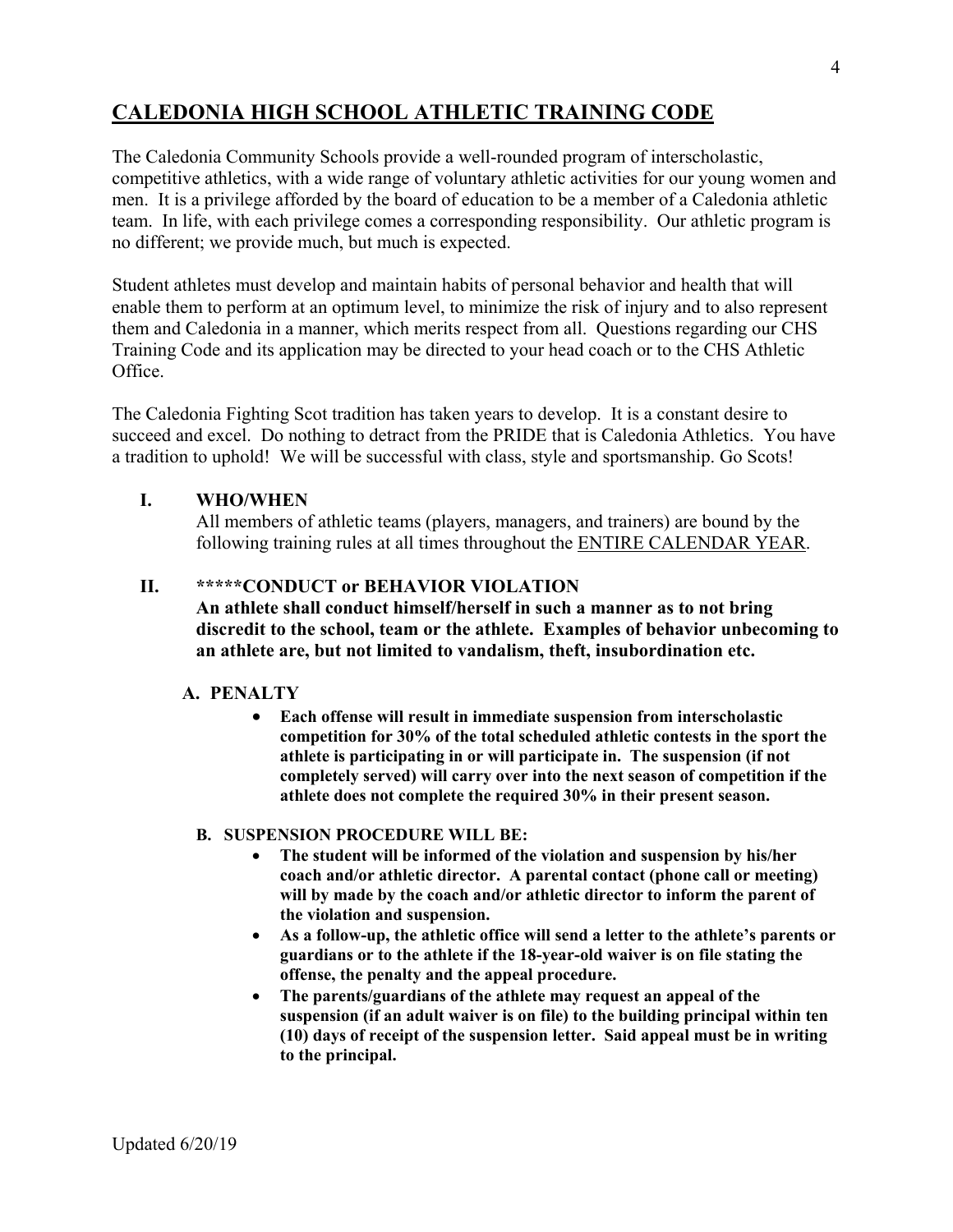# **CALEDONIA HIGH SCHOOL ATHLETIC TRAINING CODE**

The Caledonia Community Schools provide a well-rounded program of interscholastic, competitive athletics, with a wide range of voluntary athletic activities for our young women and men. It is a privilege afforded by the board of education to be a member of a Caledonia athletic team. In life, with each privilege comes a corresponding responsibility. Our athletic program is no different; we provide much, but much is expected.

Student athletes must develop and maintain habits of personal behavior and health that will enable them to perform at an optimum level, to minimize the risk of injury and to also represent them and Caledonia in a manner, which merits respect from all. Questions regarding our CHS Training Code and its application may be directed to your head coach or to the CHS Athletic Office.

The Caledonia Fighting Scot tradition has taken years to develop. It is a constant desire to succeed and excel. Do nothing to detract from the PRIDE that is Caledonia Athletics. You have a tradition to uphold! We will be successful with class, style and sportsmanship. Go Scots!

#### **I. WHO/WHEN**

All members of athletic teams (players, managers, and trainers) are bound by the following training rules at all times throughout the ENTIRE CALENDAR YEAR.

# **II. \*\*\*\*\*CONDUCT or BEHAVIOR VIOLATION**

**An athlete shall conduct himself/herself in such a manner as to not bring discredit to the school, team or the athlete. Examples of behavior unbecoming to an athlete are, but not limited to vandalism, theft, insubordination etc.** 

#### **A. PENALTY**

 **Each offense will result in immediate suspension from interscholastic competition for 30% of the total scheduled athletic contests in the sport the athlete is participating in or will participate in. The suspension (if not completely served) will carry over into the next season of competition if the athlete does not complete the required 30% in their present season.**

#### **B. SUSPENSION PROCEDURE WILL BE:**

- **The student will be informed of the violation and suspension by his/her coach and/or athletic director. A parental contact (phone call or meeting) will by made by the coach and/or athletic director to inform the parent of the violation and suspension.**
- **As a follow-up, the athletic office will send a letter to the athlete's parents or guardians or to the athlete if the 18-year-old waiver is on file stating the offense, the penalty and the appeal procedure.**
- **The parents/guardians of the athlete may request an appeal of the suspension (if an adult waiver is on file) to the building principal within ten (10) days of receipt of the suspension letter. Said appeal must be in writing to the principal.**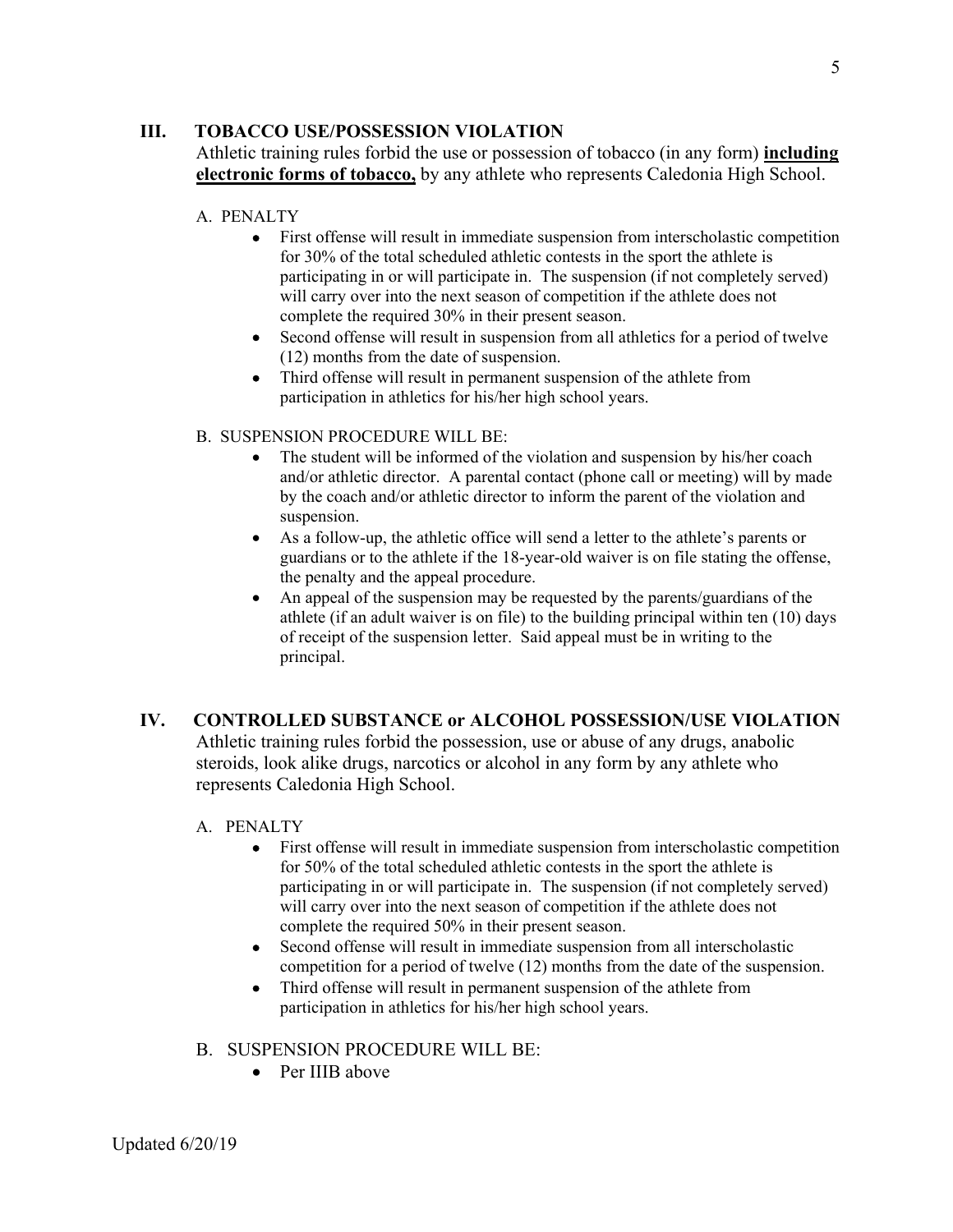#### **III. TOBACCO USE/POSSESSION VIOLATION**

Athletic training rules forbid the use or possession of tobacco (in any form) **including electronic forms of tobacco,** by any athlete who represents Caledonia High School.

#### A. PENALTY

- First offense will result in immediate suspension from interscholastic competition for 30% of the total scheduled athletic contests in the sport the athlete is participating in or will participate in. The suspension (if not completely served) will carry over into the next season of competition if the athlete does not complete the required 30% in their present season.
- Second offense will result in suspension from all athletics for a period of twelve (12) months from the date of suspension.
- Third offense will result in permanent suspension of the athlete from participation in athletics for his/her high school years.

#### B. SUSPENSION PROCEDURE WILL BE:

- The student will be informed of the violation and suspension by his/her coach and/or athletic director. A parental contact (phone call or meeting) will by made by the coach and/or athletic director to inform the parent of the violation and suspension.
- As a follow-up, the athletic office will send a letter to the athlete's parents or guardians or to the athlete if the 18-year-old waiver is on file stating the offense, the penalty and the appeal procedure.
- An appeal of the suspension may be requested by the parents/guardians of the athlete (if an adult waiver is on file) to the building principal within ten (10) days of receipt of the suspension letter. Said appeal must be in writing to the principal.

# **IV. CONTROLLED SUBSTANCE or ALCOHOL POSSESSION/USE VIOLATION**

Athletic training rules forbid the possession, use or abuse of any drugs, anabolic steroids, look alike drugs, narcotics or alcohol in any form by any athlete who represents Caledonia High School.

#### A. PENALTY

- First offense will result in immediate suspension from interscholastic competition for 50% of the total scheduled athletic contests in the sport the athlete is participating in or will participate in. The suspension (if not completely served) will carry over into the next season of competition if the athlete does not complete the required 50% in their present season.
- Second offense will result in immediate suspension from all interscholastic competition for a period of twelve (12) months from the date of the suspension.
- Third offense will result in permanent suspension of the athlete from participation in athletics for his/her high school years.

#### B. SUSPENSION PROCEDURE WILL BE:

• Per IIIB above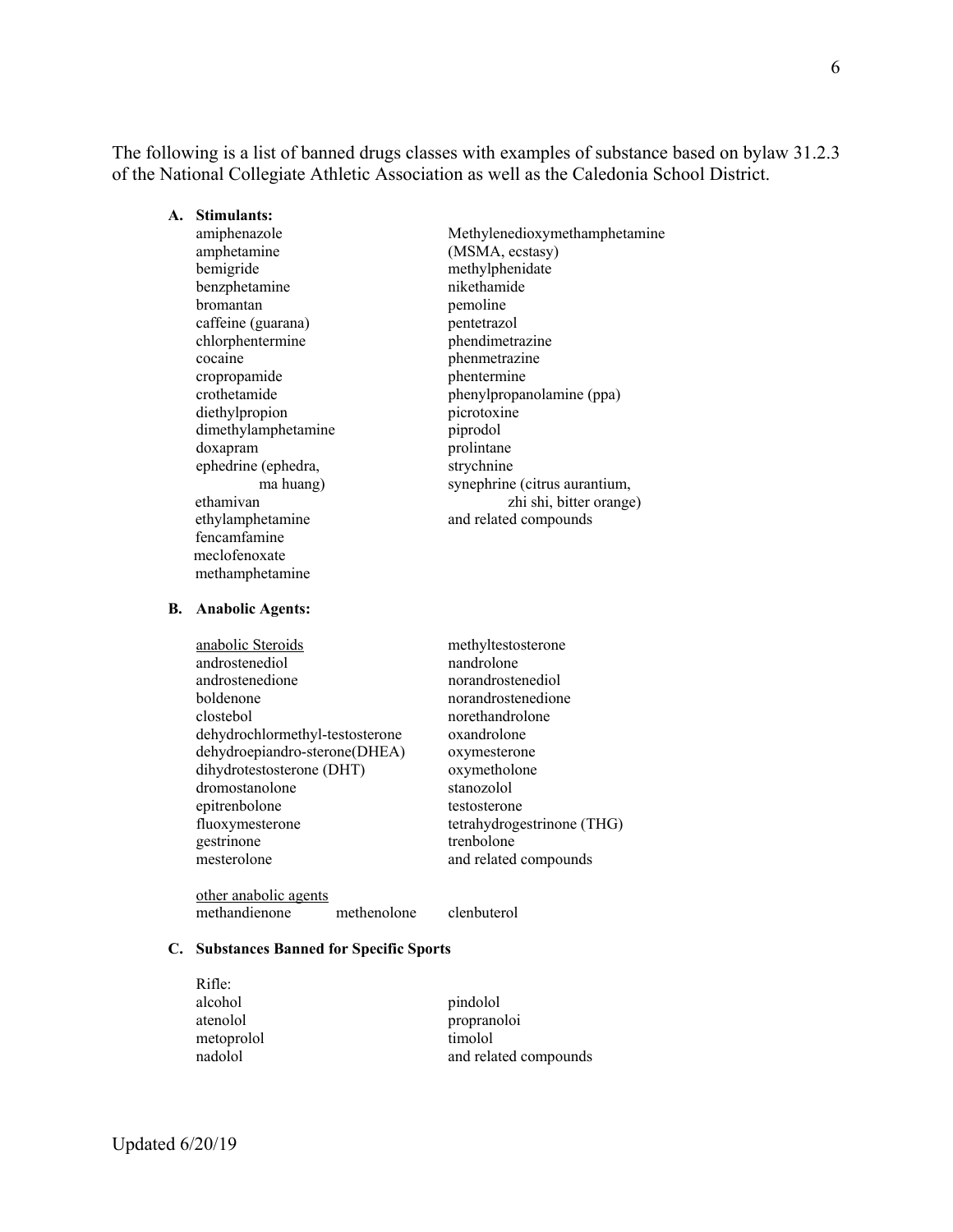The following is a list of banned drugs classes with examples of substance based on bylaw 31.2.3 of the National Collegiate Athletic Association as well as the Caledonia School District.

| A. Stimulants:      |                               |
|---------------------|-------------------------------|
| amiphenazole        | Methylenedioxymethamphetamine |
| amphetamine         | (MSMA, ecstasy)               |
| bemigride           | methylphenidate               |
| benzphetamine       | nikethamide                   |
| bromantan           | pemoline                      |
| caffeine (guarana)  | pentetrazol                   |
| chlorphentermine    | phendimetrazine               |
| cocaine             | phenmetrazine                 |
| cropropamide        | phentermine                   |
| crothetamide        | phenylpropanolamine (ppa)     |
| diethylpropion      | picrotoxine                   |
| dimethylamphetamine | piprodol                      |
| doxapram            | prolintane                    |
| ephedrine (ephedra, | strychnine                    |
| ma huang)           | synephrine (citrus aurantium, |
| ethamivan           | zhi shi, bitter orange)       |
| ethylamphetamine    | and related compounds         |
| fencamfamine        |                               |
| meclofenoxate       |                               |
| methamphetamine     |                               |

#### **B. Anabolic Agents:**

| anabolic Steroids               | methyltestosterone         |
|---------------------------------|----------------------------|
| androstenediol                  | nandrolone                 |
| androstenedione                 | norandrostenediol          |
| boldenone                       | norandrostenedione         |
| clostebol                       | norethandrolone            |
| dehydrochlormethyl-testosterone | oxandrolone                |
| dehydroepiandro-sterone(DHEA)   | oxymesterone               |
| dihydrotestosterone (DHT)       | oxymetholone               |
| dromostanolone                  | stanozolol                 |
| epitrenbolone                   | testosterone               |
| fluoxymesterone                 | tetrahydrogestrinone (THG) |
| gestrinone                      | trenbolone                 |
| mesterolone                     | and related compounds      |
|                                 |                            |

other anabolic agents methandienone methenolone clenbuterol

#### **C. Substances Banned for Specific Sports**

| Rifle:     |                       |
|------------|-----------------------|
| alcohol    | pindolol              |
| atenolol   | propranoloi           |
| metoprolol | timolol               |
| nadolol    | and related compounds |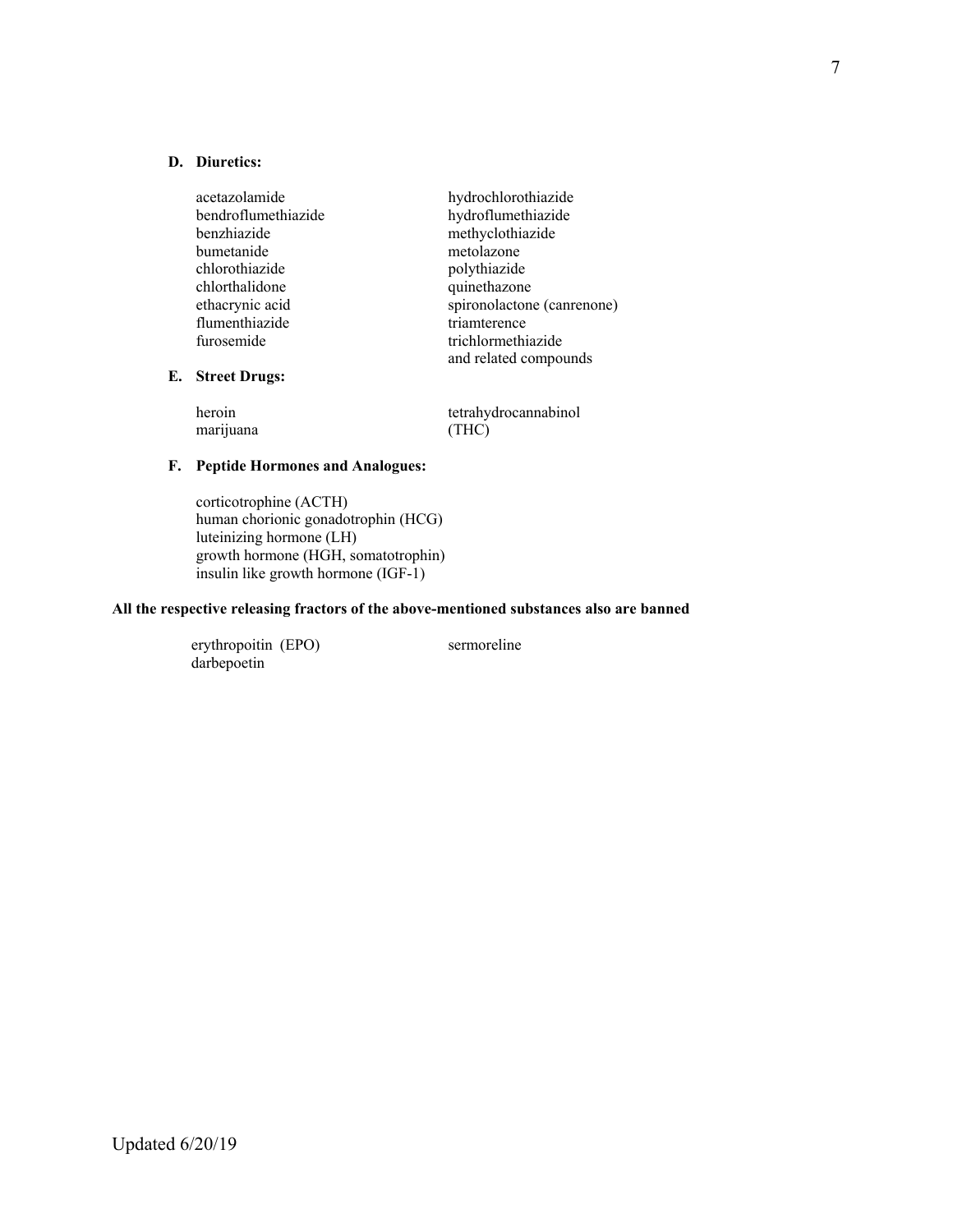#### **D. Diuretics:**

**E. Street Drugs:** 

| acetazolamide        | hydrochlorothiazide        |
|----------------------|----------------------------|
| bendroflumethiazide  | hydroflumethiazide         |
| benzhiazide          | methyclothiazide           |
| bumetanide           | metolazone                 |
| chlorothiazide       | polythiazide               |
| chlorthalidone       | quinethazone               |
| ethacrynic acid      | spironolactone (canrenone) |
| flumenthiazide       | triamterence               |
| furosemide           | trichlormethiazide         |
|                      | and related compounds      |
| <b>Street Drugs:</b> |                            |

| heroin    | tetrahydrocannabinol |
|-----------|----------------------|
| marijuana | (THC)                |

#### **F. Peptide Hormones and Analogues:**

corticotrophine (ACTH) human chorionic gonadotrophin (HCG) luteinizing hormone (LH) growth hormone (HGH, somatotrophin) insulin like growth hormone (IGF-1)

#### **All the respective releasing fractors of the above-mentioned substances also are banned**

 erythropoitin (EPO) sermoreline darbepoetin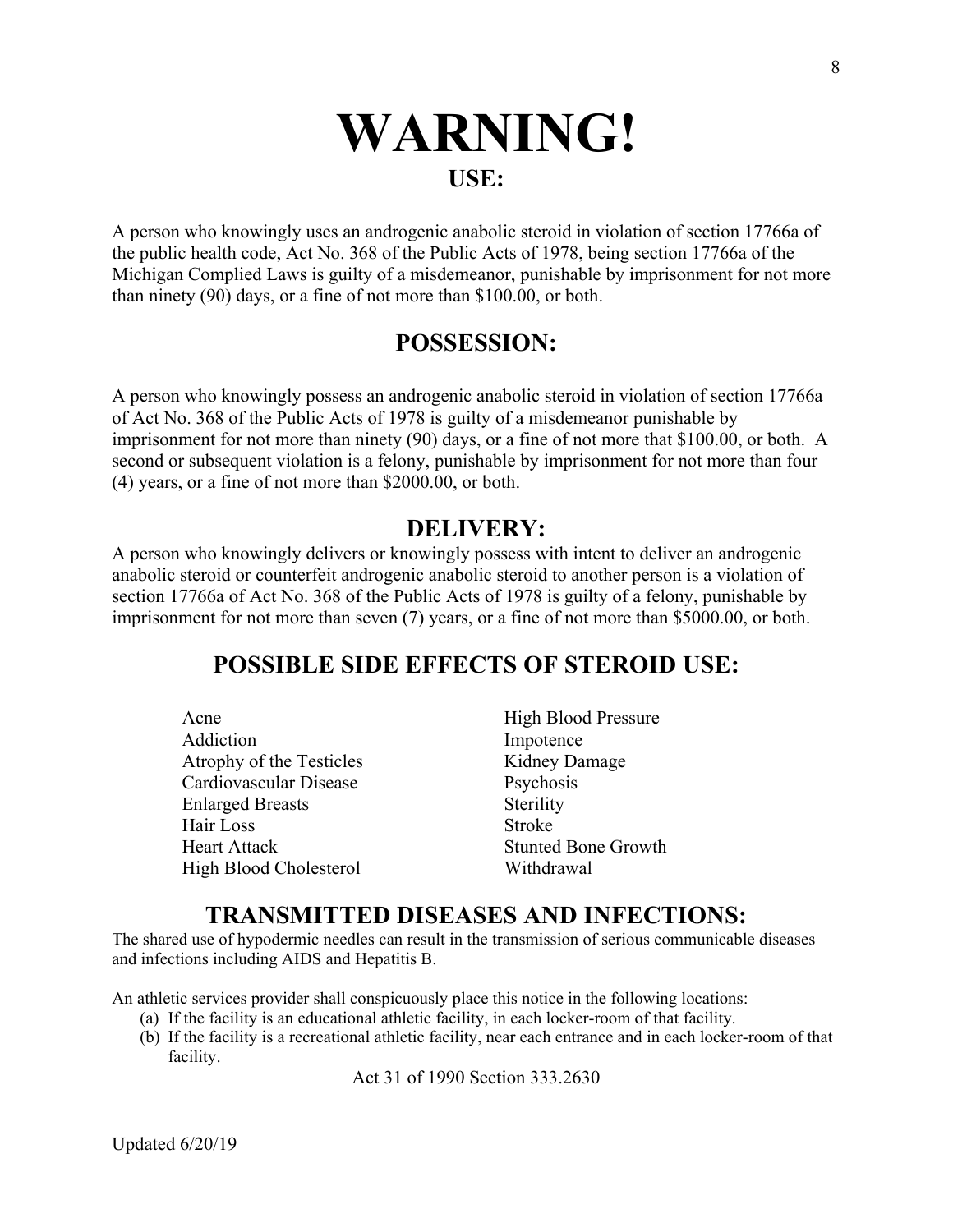# **WARNING! USE:**

A person who knowingly uses an androgenic anabolic steroid in violation of section 17766a of the public health code, Act No. 368 of the Public Acts of 1978, being section 17766a of the Michigan Complied Laws is guilty of a misdemeanor, punishable by imprisonment for not more than ninety (90) days, or a fine of not more than \$100.00, or both.

# **POSSESSION:**

A person who knowingly possess an androgenic anabolic steroid in violation of section 17766a of Act No. 368 of the Public Acts of 1978 is guilty of a misdemeanor punishable by imprisonment for not more than ninety (90) days, or a fine of not more that \$100.00, or both. A second or subsequent violation is a felony, punishable by imprisonment for not more than four (4) years, or a fine of not more than \$2000.00, or both.

# **DELIVERY:**

A person who knowingly delivers or knowingly possess with intent to deliver an androgenic anabolic steroid or counterfeit androgenic anabolic steroid to another person is a violation of section 17766a of Act No. 368 of the Public Acts of 1978 is guilty of a felony, punishable by imprisonment for not more than seven (7) years, or a fine of not more than \$5000.00, or both.

# **POSSIBLE SIDE EFFECTS OF STEROID USE:**

| Acne                     | <b>High Blood Pressure</b> |
|--------------------------|----------------------------|
| Addiction                | Impotence                  |
| Atrophy of the Testicles | Kidney Damage              |
| Cardiovascular Disease   | Psychosis                  |
| <b>Enlarged Breasts</b>  | Sterility                  |
| Hair Loss                | Stroke                     |
| <b>Heart Attack</b>      | <b>Stunted Bone Growth</b> |
| High Blood Cholesterol   | Withdrawal                 |

# **TRANSMITTED DISEASES AND INFECTIONS:**

The shared use of hypodermic needles can result in the transmission of serious communicable diseases and infections including AIDS and Hepatitis B.

An athletic services provider shall conspicuously place this notice in the following locations:

- (a) If the facility is an educational athletic facility, in each locker-room of that facility.
- (b) If the facility is a recreational athletic facility, near each entrance and in each locker-room of that facility.

Act 31 of 1990 Section 333.2630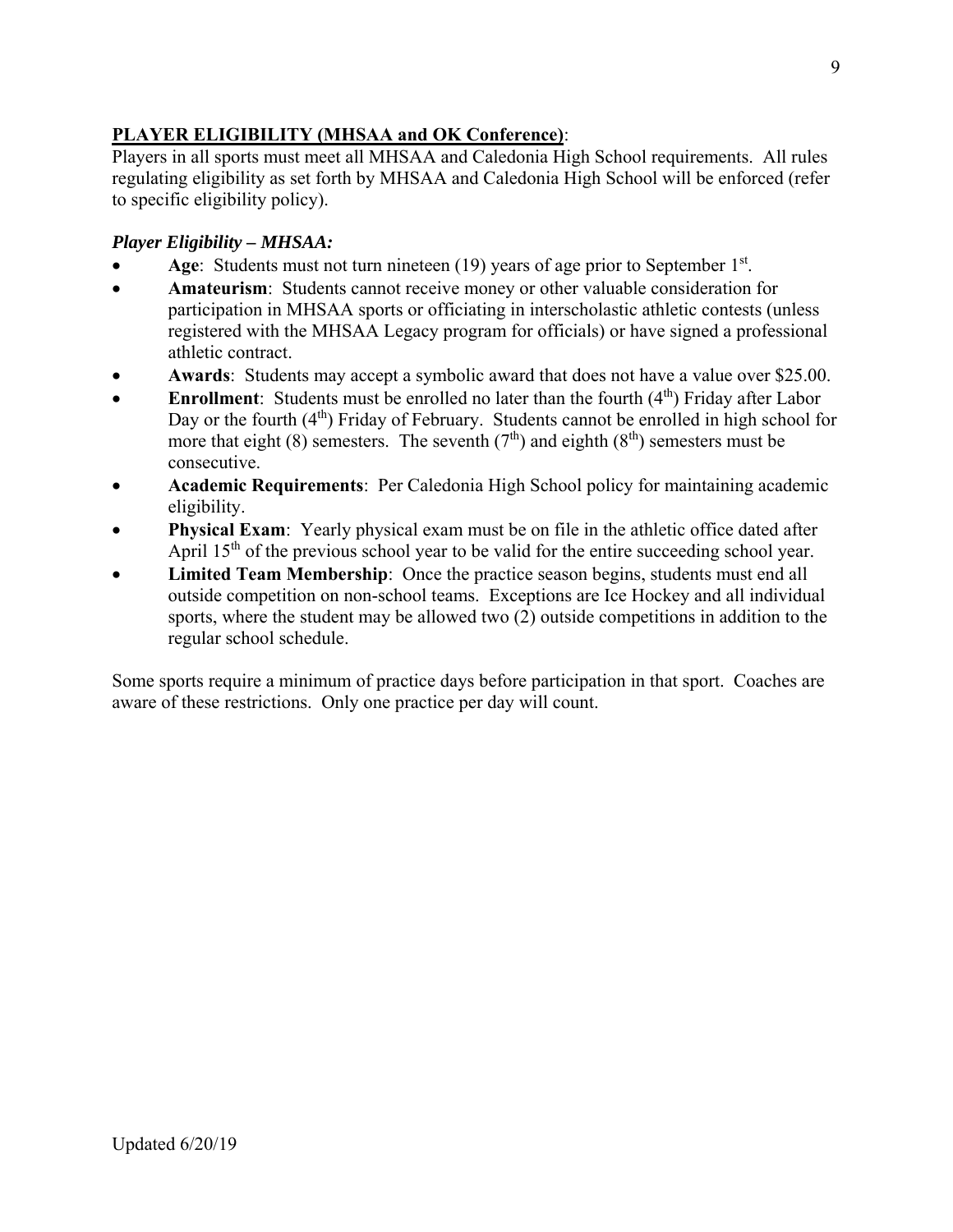# **PLAYER ELIGIBILITY (MHSAA and OK Conference)**:

Players in all sports must meet all MHSAA and Caledonia High School requirements. All rules regulating eligibility as set forth by MHSAA and Caledonia High School will be enforced (refer to specific eligibility policy).

# *Player Eligibility – MHSAA:*

- Age: Students must not turn nineteen (19) years of age prior to September 1<sup>st</sup>.
- **Amateurism**: Students cannot receive money or other valuable consideration for participation in MHSAA sports or officiating in interscholastic athletic contests (unless registered with the MHSAA Legacy program for officials) or have signed a professional athletic contract.
- **Awards**: Students may accept a symbolic award that does not have a value over \$25.00.
- **Enrollment**: Students must be enrolled no later than the fourth (4<sup>th</sup>) Friday after Labor Day or the fourth  $(4<sup>th</sup>)$  Friday of February. Students cannot be enrolled in high school for more that eight (8) semesters. The seventh ( $7<sup>th</sup>$ ) and eighth ( $8<sup>th</sup>$ ) semesters must be consecutive.
- **Academic Requirements**: Per Caledonia High School policy for maintaining academic eligibility.
- **Physical Exam**: Yearly physical exam must be on file in the athletic office dated after April  $15<sup>th</sup>$  of the previous school year to be valid for the entire succeeding school year.
- **Limited Team Membership**: Once the practice season begins, students must end all outside competition on non-school teams. Exceptions are Ice Hockey and all individual sports, where the student may be allowed two (2) outside competitions in addition to the regular school schedule.

Some sports require a minimum of practice days before participation in that sport. Coaches are aware of these restrictions. Only one practice per day will count.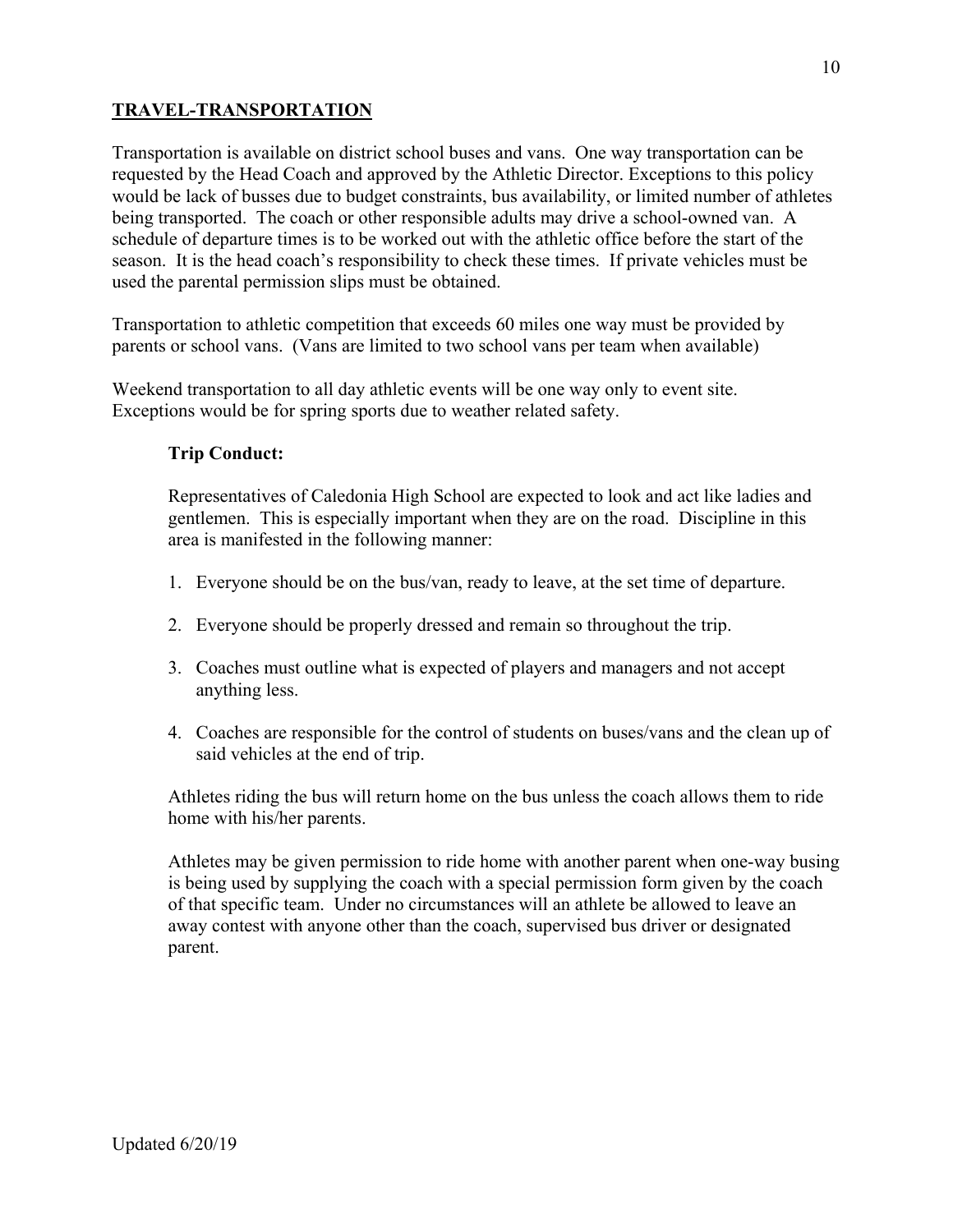# **TRAVEL-TRANSPORTATION**

Transportation is available on district school buses and vans. One way transportation can be requested by the Head Coach and approved by the Athletic Director. Exceptions to this policy would be lack of busses due to budget constraints, bus availability, or limited number of athletes being transported. The coach or other responsible adults may drive a school-owned van. A schedule of departure times is to be worked out with the athletic office before the start of the season. It is the head coach's responsibility to check these times. If private vehicles must be used the parental permission slips must be obtained.

Transportation to athletic competition that exceeds 60 miles one way must be provided by parents or school vans. (Vans are limited to two school vans per team when available)

Weekend transportation to all day athletic events will be one way only to event site. Exceptions would be for spring sports due to weather related safety.

# **Trip Conduct:**

Representatives of Caledonia High School are expected to look and act like ladies and gentlemen. This is especially important when they are on the road. Discipline in this area is manifested in the following manner:

- 1. Everyone should be on the bus/van, ready to leave, at the set time of departure.
- 2. Everyone should be properly dressed and remain so throughout the trip.
- 3. Coaches must outline what is expected of players and managers and not accept anything less.
- 4. Coaches are responsible for the control of students on buses/vans and the clean up of said vehicles at the end of trip.

Athletes riding the bus will return home on the bus unless the coach allows them to ride home with his/her parents.

Athletes may be given permission to ride home with another parent when one-way busing is being used by supplying the coach with a special permission form given by the coach of that specific team. Under no circumstances will an athlete be allowed to leave an away contest with anyone other than the coach, supervised bus driver or designated parent.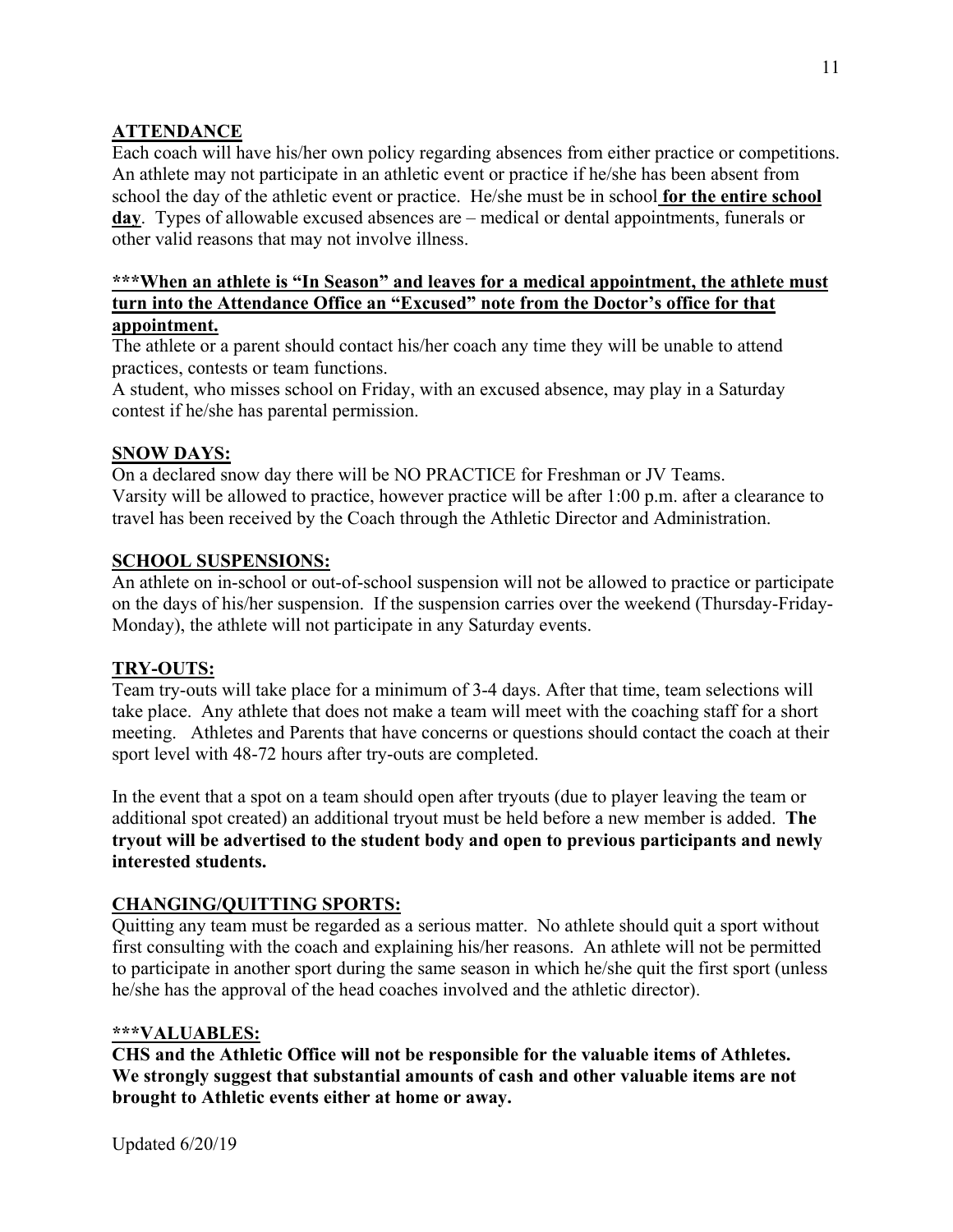# **ATTENDANCE**

Each coach will have his/her own policy regarding absences from either practice or competitions. An athlete may not participate in an athletic event or practice if he/she has been absent from school the day of the athletic event or practice. He/she must be in school **for the entire school day**. Types of allowable excused absences are – medical or dental appointments, funerals or other valid reasons that may not involve illness.

#### **\*\*\*When an athlete is "In Season" and leaves for a medical appointment, the athlete must turn into the Attendance Office an "Excused" note from the Doctor's office for that appointment.**

The athlete or a parent should contact his/her coach any time they will be unable to attend practices, contests or team functions.

A student, who misses school on Friday, with an excused absence, may play in a Saturday contest if he/she has parental permission.

# **SNOW DAYS:**

On a declared snow day there will be NO PRACTICE for Freshman or JV Teams. Varsity will be allowed to practice, however practice will be after 1:00 p.m. after a clearance to travel has been received by the Coach through the Athletic Director and Administration.

# **SCHOOL SUSPENSIONS:**

An athlete on in-school or out-of-school suspension will not be allowed to practice or participate on the days of his/her suspension. If the suspension carries over the weekend (Thursday-Friday-Monday), the athlete will not participate in any Saturday events.

# **TRY-OUTS:**

Team try-outs will take place for a minimum of 3-4 days. After that time, team selections will take place. Any athlete that does not make a team will meet with the coaching staff for a short meeting. Athletes and Parents that have concerns or questions should contact the coach at their sport level with 48-72 hours after try-outs are completed.

In the event that a spot on a team should open after tryouts (due to player leaving the team or additional spot created) an additional tryout must be held before a new member is added. **The tryout will be advertised to the student body and open to previous participants and newly interested students.** 

# **CHANGING/QUITTING SPORTS:**

Quitting any team must be regarded as a serious matter. No athlete should quit a sport without first consulting with the coach and explaining his/her reasons. An athlete will not be permitted to participate in another sport during the same season in which he/she quit the first sport (unless he/she has the approval of the head coaches involved and the athletic director).

#### **\*\*\*VALUABLES:**

**CHS and the Athletic Office will not be responsible for the valuable items of Athletes. We strongly suggest that substantial amounts of cash and other valuable items are not brought to Athletic events either at home or away.**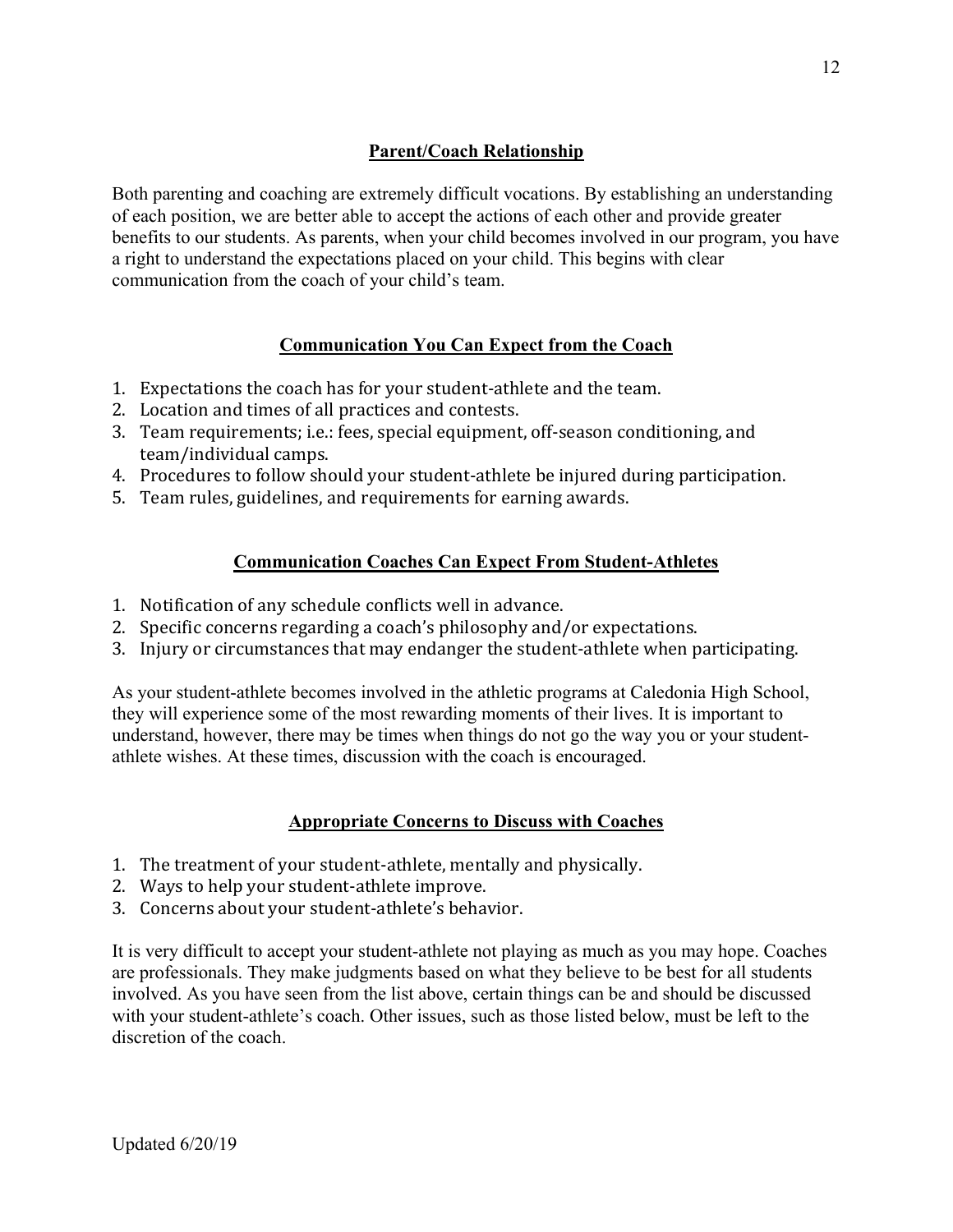# **Parent/Coach Relationship**

Both parenting and coaching are extremely difficult vocations. By establishing an understanding of each position, we are better able to accept the actions of each other and provide greater benefits to our students. As parents, when your child becomes involved in our program, you have a right to understand the expectations placed on your child. This begins with clear communication from the coach of your child's team.

# **Communication You Can Expect from the Coach**

- 1. Expectations the coach has for your student-athlete and the team.
- 2. Location and times of all practices and contests.
- 3. Team requirements; i.e.: fees, special equipment, off-season conditioning, and team/individual camps.
- 4. Procedures to follow should your student-athlete be injured during participation.
- 5. Team rules, guidelines, and requirements for earning awards.

# **Communication Coaches Can Expect From Student-Athletes**

- 1. Notification of any schedule conflicts well in advance.
- 2. Specific concerns regarding a coach's philosophy and/or expectations.
- 3. Injury or circumstances that may endanger the student-athlete when participating.

As your student-athlete becomes involved in the athletic programs at Caledonia High School, they will experience some of the most rewarding moments of their lives. It is important to understand, however, there may be times when things do not go the way you or your studentathlete wishes. At these times, discussion with the coach is encouraged.

# **Appropriate Concerns to Discuss with Coaches**

- 1. The treatment of your student-athlete, mentally and physically.
- 2. Ways to help your student-athlete improve.
- 3. Concerns about your student-athlete's behavior.

It is very difficult to accept your student-athlete not playing as much as you may hope. Coaches are professionals. They make judgments based on what they believe to be best for all students involved. As you have seen from the list above, certain things can be and should be discussed with your student-athlete's coach. Other issues, such as those listed below, must be left to the discretion of the coach.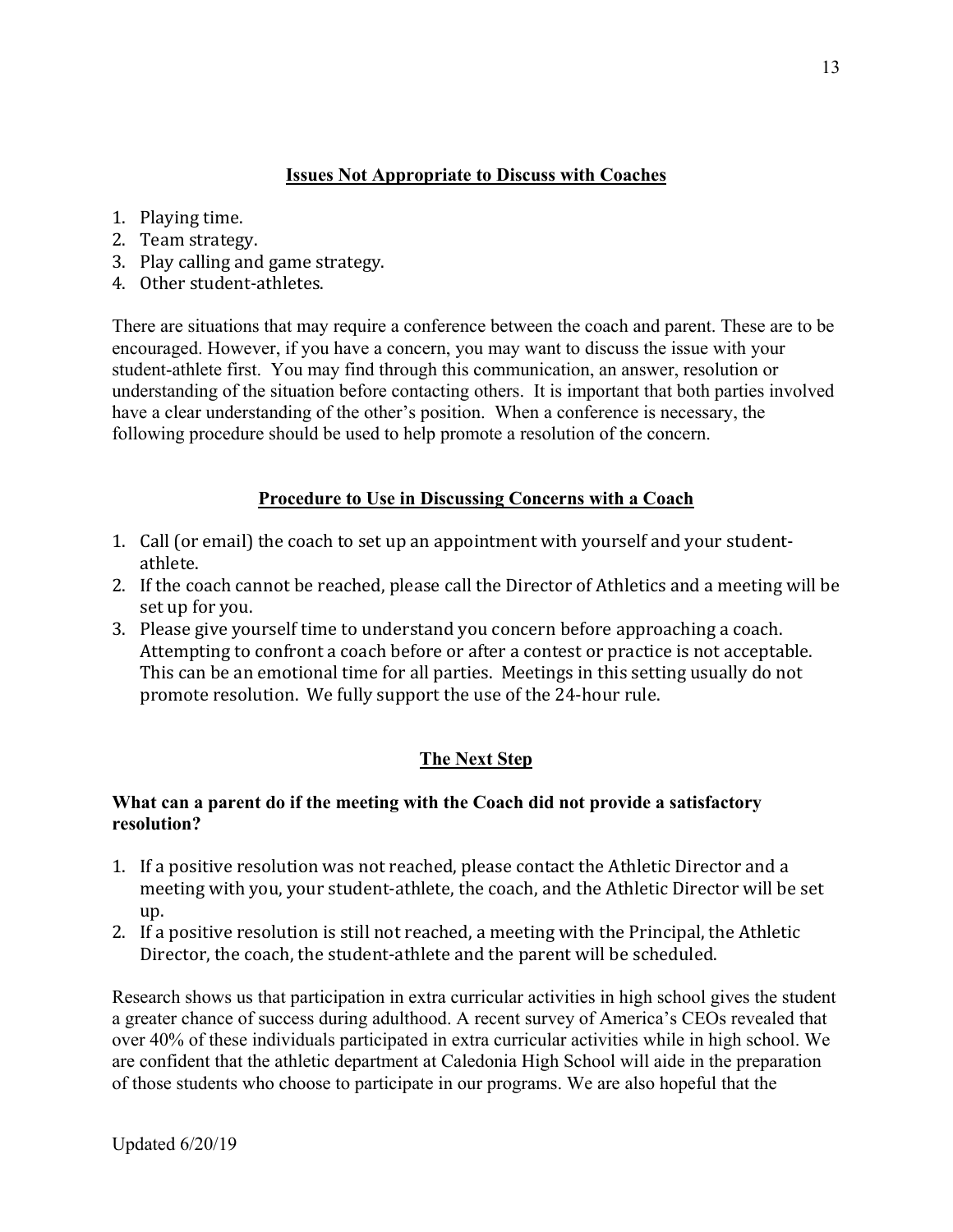# **Issues Not Appropriate to Discuss with Coaches**

- 1. Playing time.
- 2. Team strategy.
- 3. Play calling and game strategy.
- 4. Other student-athletes.

There are situations that may require a conference between the coach and parent. These are to be encouraged. However, if you have a concern, you may want to discuss the issue with your student-athlete first. You may find through this communication, an answer, resolution or understanding of the situation before contacting others. It is important that both parties involved have a clear understanding of the other's position. When a conference is necessary, the following procedure should be used to help promote a resolution of the concern.

# **Procedure to Use in Discussing Concerns with a Coach**

- 1. Call (or email) the coach to set up an appointment with yourself and your studentathlete.
- 2. If the coach cannot be reached, please call the Director of Athletics and a meeting will be set up for you.
- 3. Please give yourself time to understand you concern before approaching a coach. Attempting to confront a coach before or after a contest or practice is not acceptable. This can be an emotional time for all parties. Meetings in this setting usually do not promote resolution. We fully support the use of the 24-hour rule.

# **The Next Step**

# **What can a parent do if the meeting with the Coach did not provide a satisfactory resolution?**

- 1. If a positive resolution was not reached, please contact the Athletic Director and a meeting with you, your student-athlete, the coach, and the Athletic Director will be set up.
- 2. If a positive resolution is still not reached, a meeting with the Principal, the Athletic Director, the coach, the student-athlete and the parent will be scheduled.

Research shows us that participation in extra curricular activities in high school gives the student a greater chance of success during adulthood. A recent survey of America's CEOs revealed that over 40% of these individuals participated in extra curricular activities while in high school. We are confident that the athletic department at Caledonia High School will aide in the preparation of those students who choose to participate in our programs. We are also hopeful that the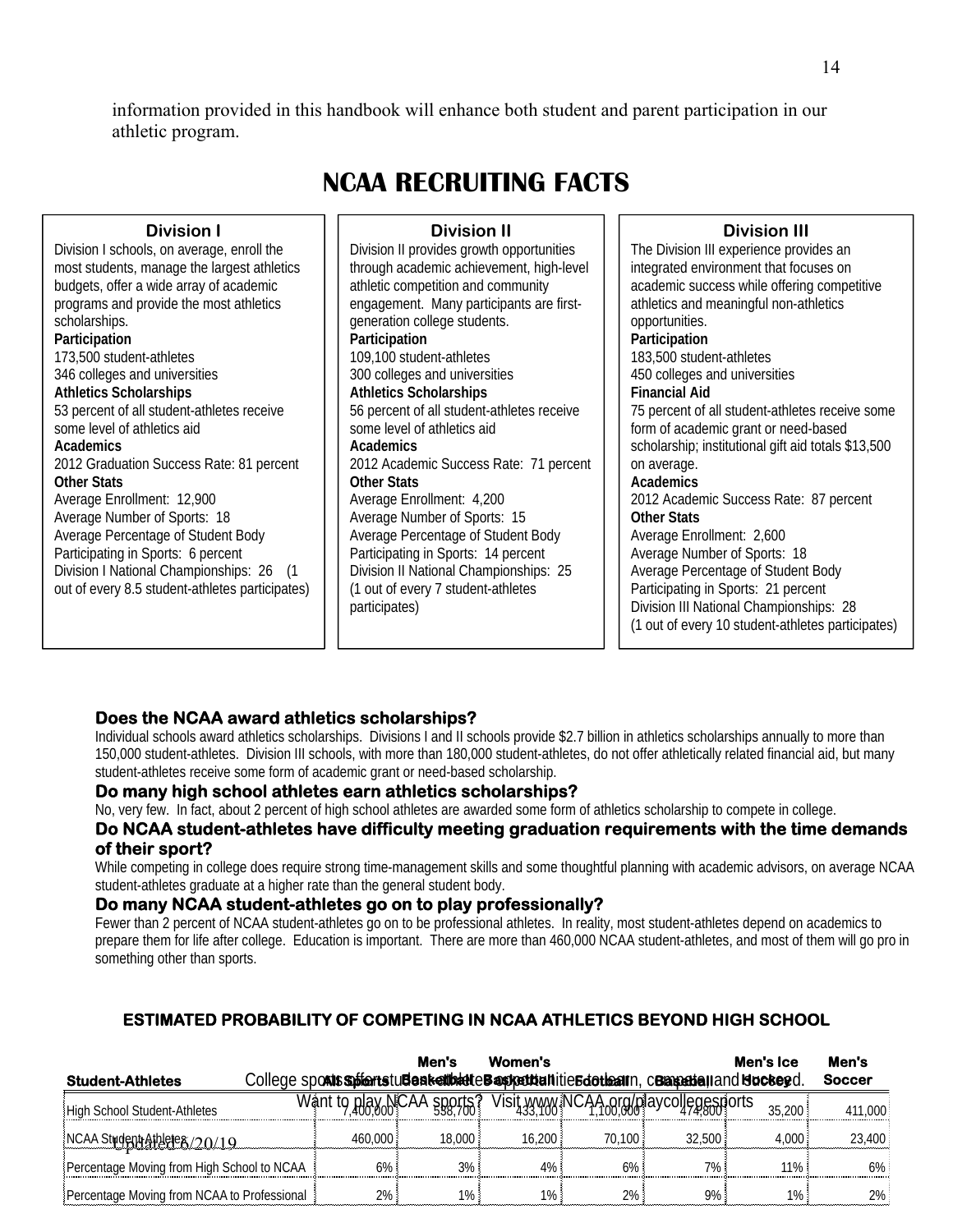information provided in this handbook will enhance both student and parent participation in our athletic program.

# **NCAA RECRUITING FACTS**

#### **Division I**

Division I schools, on average, enroll the most students, manage the largest athletics budgets, offer a wide array of academic programs and provide the most athletics scholarships. **Participation**  173,500 student-athletes 346 colleges and universities **Athletics Scholarships**  53 percent of all student-athletes receive some level of athletics aid **Academics**  2012 Graduation Success Rate: 81 percent **Other Stats**  Average Enrollment: 12,900 Average Number of Sports: 18 Average Percentage of Student Body Participating in Sports: 6 percent Division I National Championships: 26 (1 out of every 8.5 student-athletes participates)

#### **Division II**

Division II provides growth opportunities through academic achievement, high-level athletic competition and community engagement. Many participants are firstgeneration college students. **Participation**  109,100 student-athletes 300 colleges and universities **Athletics Scholarships** 56 percent of all student-athletes receive some level of athletics aid **Academics**  2012 Academic Success Rate: 71 percent **Other Stats**  Average Enrollment: 4,200 Average Number of Sports: 15 Average Percentage of Student Body Participating in Sports: 14 percent Division II National Championships: 25 (1 out of every 7 student-athletes participates)

#### **Division III**

The Division III experience provides an integrated environment that focuses on academic success while offering competitive athletics and meaningful non-athletics opportunities. **Participation**  183,500 student-athletes 450 colleges and universities **Financial Aid**  75 percent of all student-athletes receive some form of academic grant or need-based scholarship; institutional gift aid totals \$13,500 on average. **Academics**  2012 Academic Success Rate: 87 percent **Other Stats**  Average Enrollment: 2,600 Average Number of Sports: 18 Average Percentage of Student Body Participating in Sports: 21 percent Division III National Championships: 28 (1 out of every 10 student-athletes participates)

# **Does the NCAA award athletics scholarships?**

Individual schools award athletics scholarships. Divisions I and II schools provide \$2.7 billion in athletics scholarships annually to more than 150,000 student-athletes. Division III schools, with more than 180,000 student-athletes, do not offer athletically related financial aid, but many student-athletes receive some form of academic grant or need-based scholarship.

#### **Do many high school athletes earn athletics scholarships?**

No, very few. In fact, about 2 percent of high school athletes are awarded some form of athletics scholarship to compete in college.

#### **Do NCAA student-athletes have difficulty meeting graduation requirements with the time demands of their sport?**

While competing in college does require strong time-management skills and some thoughtful planning with academic advisors, on average NCAA student-athletes graduate at a higher rate than the general student body.

#### **Do many NCAA student-athletes go on to play professionally?**

Fewer than 2 percent of NCAA student-athletes go on to be professional athletes. In reality, most student-athletes depend on academics to prepare them for life after college. Education is important. There are more than 460,000 NCAA student-athletes, and most of them will go pro in something other than sports.

# **ESTIMATED PROBABILITY OF COMPETING IN NCAA ATHLETICS BEYOND HIGH SCHOOL**

| <b>Student-Athletes</b>                     | College spoats spierts tuden keitbalte Basketbaltitie Edotbaltn, cBaseball and Hockeyd. | Men's  | Women's |        |                                       | Men's Ice | Men's<br><b>Soccer</b> |
|---------------------------------------------|-----------------------------------------------------------------------------------------|--------|---------|--------|---------------------------------------|-----------|------------------------|
| High School Student-Athletes                | Want to play NCAA sports?                                                               |        |         |        | Visit www.iNCAA.org/playcollegesports | 35,200    | 411,000                |
| NCAA Student Athlete 8/20/19                | 460.000                                                                                 | 18,000 | 16.200  | 70.100 | 32.500                                | 4.000     | 23,400                 |
| Percentage Moving from High School to NCAA  | 6%                                                                                      | $3\%$  | 4%      | 6%     | $7\%$ :                               | 11%       | $6\%$                  |
| Percentage Moving from NCAA to Professional | $2\%$ .                                                                                 | $1\%$  | $1\%$ : | $2\%$  | 9%                                    | $1\%$     | 2%                     |